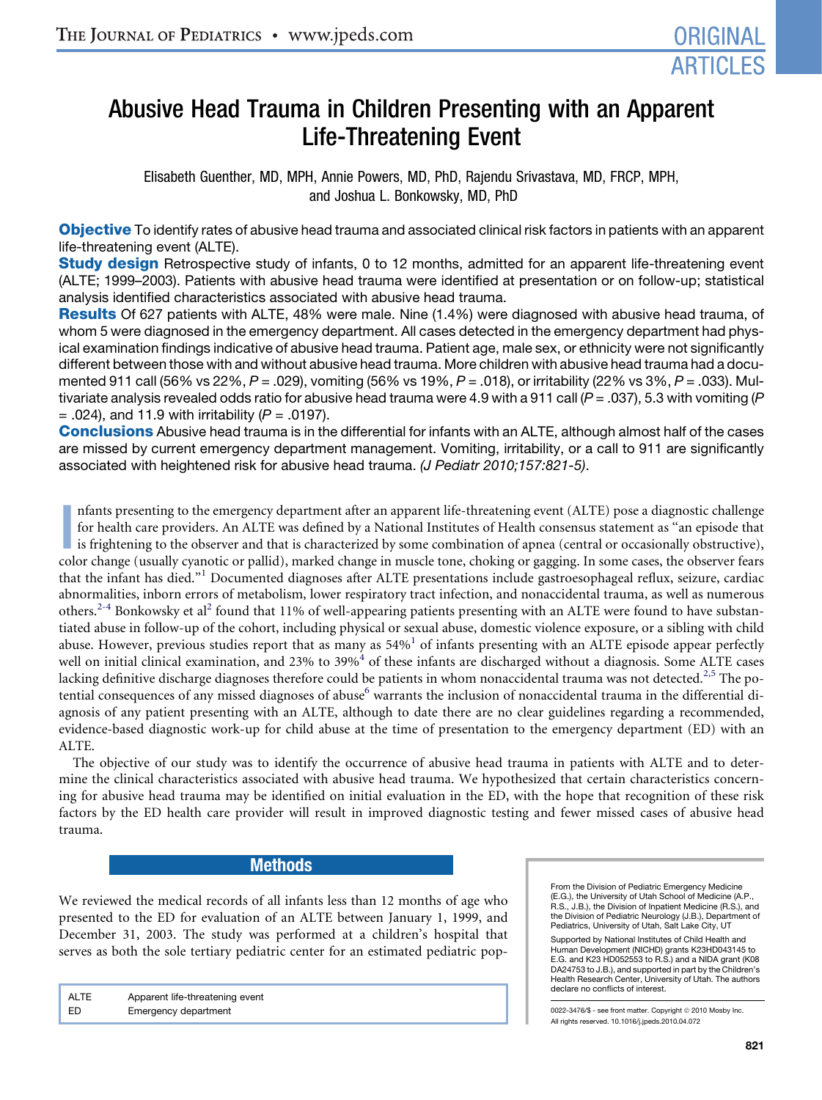# Abusive Head Trauma in Children Presenting with an Apparent Life-Threatening Event

Elisabeth Guenther, MD, MPH, Annie Powers, MD, PhD, Rajendu Srivastava, MD, FRCP, MPH, and Joshua L. Bonkowsky, MD, PhD

Objective To identify rates of abusive head trauma and associated clinical risk factors in patients with an apparent life-threatening event (ALTE).

**Study design** Retrospective study of infants, 0 to 12 months, admitted for an apparent life-threatening event (ALTE; 1999–2003). Patients with abusive head trauma were identified at presentation or on follow-up; statistical analysis identified characteristics associated with abusive head trauma.

**Results** Of 627 patients with ALTE, 48% were male. Nine (1.4%) were diagnosed with abusive head trauma, of whom 5 were diagnosed in the emergency department. All cases detected in the emergency department had physical examination findings indicative of abusive head trauma. Patient age, male sex, or ethnicity were not significantly different between those with and without abusive head trauma. More children with abusive head trauma had a documented 911 call (56% vs 22%, *P* = .029), vomiting (56% vs 19%, *P* = .018), or irritability (22% vs 3%, *P* = .033). Multivariate analysis revealed odds ratio for abusive head trauma were 4.9 with a 911 call (*P* = .037), 5.3 with vomiting (*P*  $= .024$ ), and 11.9 with irritability ( $P = .0197$ ).

Conclusions Abusive head trauma is in the differential for infants with an ALTE, although almost half of the cases are missed by current emergency department management. Vomiting, irritability, or a call to 911 are significantly associated with heightened risk for abusive head trauma. *(J Pediatr 2010;157:821-5)*.

Infants presenting to the emergency department after an apparent life-threatening event (ALTE) pose a diagnostic challenge for health care providers. An ALTE was defined by a National Institutes of Health consensus stateme nfants presenting to the emergency department after an apparent life-threatening event (ALTE) pose a diagnostic challenge for health care providers. An ALTE was defined by a National Institutes of Health consensus statement as ''an episode that is frightening to the observer and that is characterized by some combination of apnea (central or occasionally obstructive), that the infant has died.''[1](#page-4-0) Documented diagnoses after ALTE presentations include gastroesophageal reflux, seizure, cardiac abnormalities, inborn errors of metabolism, lower respiratory tract infection, and nonaccidental trauma, as well as numerous others.<sup>[2-4](#page-4-0)</sup> Bonkowsky et al<sup>[2](#page-4-0)</sup> found that 11% of well-appearing patients presenting with an ALTE were found to have substantiated abuse in follow-up of the cohort, including physical or sexual abuse, domestic violence exposure, or a sibling with child abuse. However, previous studies report that as many as  $54\%$  of infants presenting with an ALTE episode appear perfectly well on initial clinical examination, and  $23\%$  to  $39\%$ <sup>[4](#page-4-0)</sup> of these infants are discharged without a diagnosis. Some ALTE cases lacking definitive discharge diagnoses therefore could be patients in whom nonaccidental trauma was not detected.<sup>[2,5](#page-4-0)</sup> The po-tential consequences of any missed diagnoses of abuse<sup>[6](#page-4-0)</sup> warrants the inclusion of nonaccidental trauma in the differential diagnosis of any patient presenting with an ALTE, although to date there are no clear guidelines regarding a recommended, evidence-based diagnostic work-up for child abuse at the time of presentation to the emergency department (ED) with an ALTE.

The objective of our study was to identify the occurrence of abusive head trauma in patients with ALTE and to determine the clinical characteristics associated with abusive head trauma. We hypothesized that certain characteristics concerning for abusive head trauma may be identified on initial evaluation in the ED, with the hope that recognition of these risk factors by the ED health care provider will result in improved diagnostic testing and fewer missed cases of abusive head trauma.

# Methods

We reviewed the medical records of all infants less than 12 months of age who presented to the ED for evaluation of an ALTE between January 1, 1999, and December 31, 2003. The study was performed at a children's hospital that serves as both the sole tertiary pediatric center for an estimated pediatric pop-

| <b>ALTE</b> | Apparent life-threatening event |
|-------------|---------------------------------|
| ED.         | Emergency department            |

From the Division of Pediatric Emergency Medicine (E.G.), the University of Utah School of Medicine (A.P., R.S., J.B.), the Division of Inpatient Medicine (R.S.), and the Division of Pediatric Neurology (J.B.), Department of Pediatrics, University of Utah, Salt Lake City, UT

Supported by National Institutes of Child Health and Human Development (NICHD) grants K23HD043145 to E.G. and K23 HD052553 to R.S.) and a NIDA grant (K08 DA24753 to J.B.), and supported in part by the Children's Health Research Center, University of Utah. The authors declare no conflicts of interest.

0022-3476/\$ - see front matter. Copyright © 2010 Mosby Inc. All rights reserved. 10.1016/j.jpeds.2010.04.072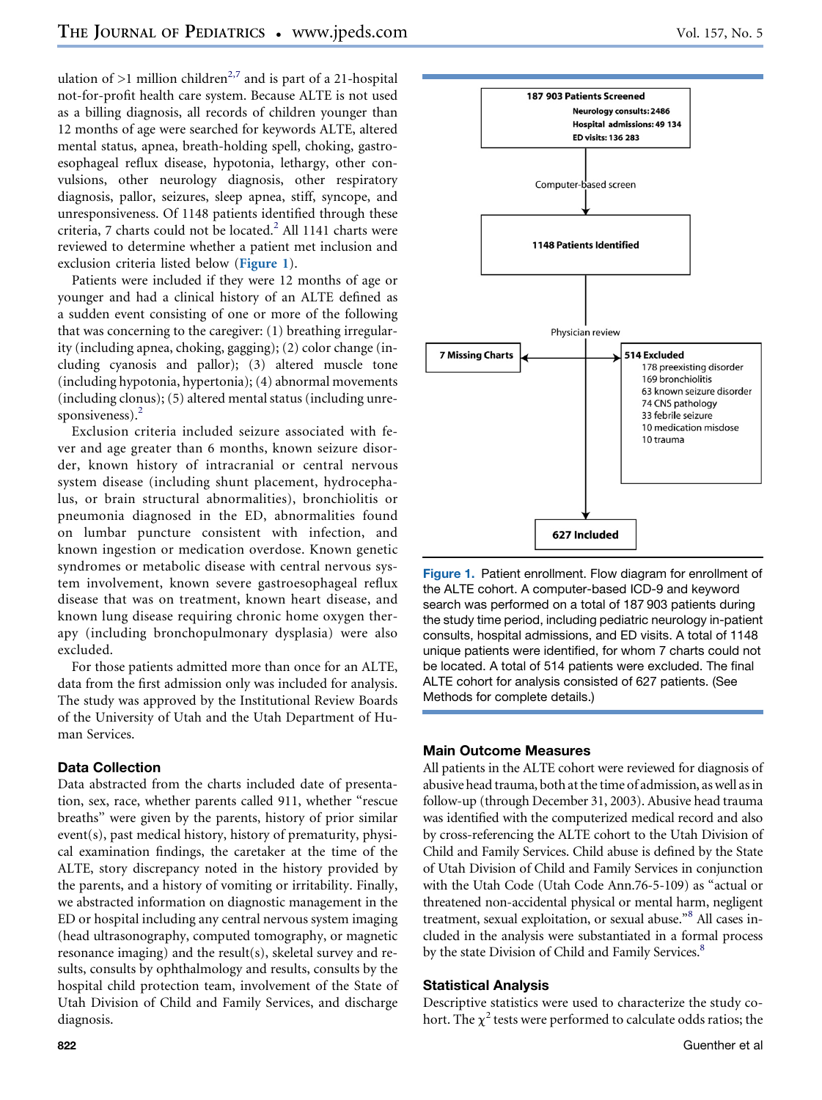<span id="page-1-0"></span>ulation of  $>1$  million children<sup>[2,7](#page-4-0)</sup> and is part of a 21-hospital not-for-profit health care system. Because ALTE is not used as a billing diagnosis, all records of children younger than 12 months of age were searched for keywords ALTE, altered mental status, apnea, breath-holding spell, choking, gastroesophageal reflux disease, hypotonia, lethargy, other convulsions, other neurology diagnosis, other respiratory diagnosis, pallor, seizures, sleep apnea, stiff, syncope, and unresponsiveness. Of 1148 patients identified through these criteria, 7 charts could not be located.<sup>[2](#page-4-0)</sup> All 1141 charts were reviewed to determine whether a patient met inclusion and exclusion criteria listed below (Figure 1).

Patients were included if they were 12 months of age or younger and had a clinical history of an ALTE defined as a sudden event consisting of one or more of the following that was concerning to the caregiver: (1) breathing irregularity (including apnea, choking, gagging); (2) color change (including cyanosis and pallor); (3) altered muscle tone (including hypotonia, hypertonia); (4) abnormal movements (including clonus); (5) altered mental status (including unresponsiveness). $<sup>2</sup>$  $<sup>2</sup>$  $<sup>2</sup>$ </sup>

Exclusion criteria included seizure associated with fever and age greater than 6 months, known seizure disorder, known history of intracranial or central nervous system disease (including shunt placement, hydrocephalus, or brain structural abnormalities), bronchiolitis or pneumonia diagnosed in the ED, abnormalities found on lumbar puncture consistent with infection, and known ingestion or medication overdose. Known genetic syndromes or metabolic disease with central nervous system involvement, known severe gastroesophageal reflux disease that was on treatment, known heart disease, and known lung disease requiring chronic home oxygen therapy (including bronchopulmonary dysplasia) were also excluded.

For those patients admitted more than once for an ALTE, data from the first admission only was included for analysis. The study was approved by the Institutional Review Boards of the University of Utah and the Utah Department of Human Services.

## Data Collection

Data abstracted from the charts included date of presentation, sex, race, whether parents called 911, whether ''rescue breaths'' were given by the parents, history of prior similar event(s), past medical history, history of prematurity, physical examination findings, the caretaker at the time of the ALTE, story discrepancy noted in the history provided by the parents, and a history of vomiting or irritability. Finally, we abstracted information on diagnostic management in the ED or hospital including any central nervous system imaging (head ultrasonography, computed tomography, or magnetic resonance imaging) and the result(s), skeletal survey and results, consults by ophthalmology and results, consults by the hospital child protection team, involvement of the State of Utah Division of Child and Family Services, and discharge diagnosis.



Figure 1. Patient enrollment. Flow diagram for enrollment of the ALTE cohort. A computer-based ICD-9 and keyword search was performed on a total of 187 903 patients during the study time period, including pediatric neurology in-patient consults, hospital admissions, and ED visits. A total of 1148 unique patients were identified, for whom 7 charts could not be located. A total of 514 patients were excluded. The final ALTE cohort for analysis consisted of 627 patients. (See Methods for complete details.)

#### Main Outcome Measures

All patients in the ALTE cohort were reviewed for diagnosis of abusive head trauma, both at the time of admission, as well as in follow-up (through December 31, 2003). Abusive head trauma was identified with the computerized medical record and also by cross-referencing the ALTE cohort to the Utah Division of Child and Family Services. Child abuse is defined by the State of Utah Division of Child and Family Services in conjunction with the Utah Code (Utah Code Ann.76-5-109) as "actual or threatened non-accidental physical or mental harm, negligent treatment, sexual exploitation, or sexual abuse."<sup>[8](#page-4-0)</sup> All cases included in the analysis were substantiated in a formal process by the state Division of Child and Family Services.<sup>8</sup>

#### Statistical Analysis

Descriptive statistics were used to characterize the study cohort. The  $\chi^2$  tests were performed to calculate odds ratios; the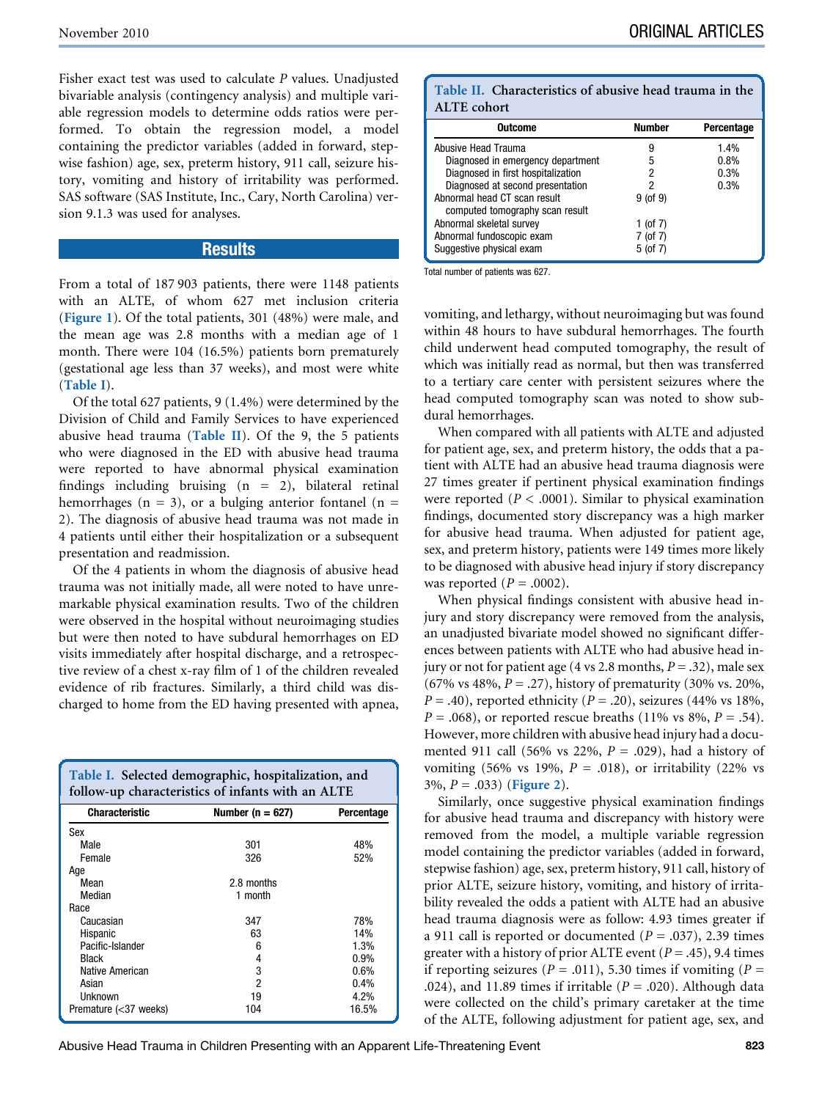Fisher exact test was used to calculate P values. Unadjusted bivariable analysis (contingency analysis) and multiple variable regression models to determine odds ratios were performed. To obtain the regression model, a model containing the predictor variables (added in forward, stepwise fashion) age, sex, preterm history, 911 call, seizure history, vomiting and history of irritability was performed. SAS software (SAS Institute, Inc., Cary, North Carolina) version 9.1.3 was used for analyses.

## **Results**

From a total of 187 903 patients, there were 1148 patients with an ALTE, of whom 627 met inclusion criteria ([Figure 1](#page-1-0)). Of the total patients, 301 (48%) were male, and the mean age was 2.8 months with a median age of 1 month. There were 104 (16.5%) patients born prematurely (gestational age less than 37 weeks), and most were white (Table I).

Of the total 627 patients, 9 (1.4%) were determined by the Division of Child and Family Services to have experienced abusive head trauma (Table II). Of the 9, the 5 patients who were diagnosed in the ED with abusive head trauma were reported to have abnormal physical examination findings including bruising (n = 2), bilateral retinal hemorrhages ( $n = 3$ ), or a bulging anterior fontanel ( $n =$ 2). The diagnosis of abusive head trauma was not made in 4 patients until either their hospitalization or a subsequent presentation and readmission.

Of the 4 patients in whom the diagnosis of abusive head trauma was not initially made, all were noted to have unremarkable physical examination results. Two of the children were observed in the hospital without neuroimaging studies but were then noted to have subdural hemorrhages on ED visits immediately after hospital discharge, and a retrospective review of a chest x-ray film of 1 of the children revealed evidence of rib fractures. Similarly, a third child was discharged to home from the ED having presented with apnea,

| Table I. Selected demographic, hospitalization, and<br>follow-up characteristics of infants with an ALTE |                  |            |  |  |  |
|----------------------------------------------------------------------------------------------------------|------------------|------------|--|--|--|
| <b>Characteristic</b>                                                                                    | Number (n = 627) | Percentage |  |  |  |
| Sex                                                                                                      |                  |            |  |  |  |
| Male                                                                                                     | 301              | 48%        |  |  |  |
| Female                                                                                                   | 326              | 52%        |  |  |  |
| Age                                                                                                      |                  |            |  |  |  |
| Mean                                                                                                     | 2.8 months       |            |  |  |  |
| Median                                                                                                   | 1 month          |            |  |  |  |
| Race                                                                                                     |                  |            |  |  |  |
| Caucasian                                                                                                | 347              | 78%        |  |  |  |
| Hispanic                                                                                                 | 63               | 14%        |  |  |  |
| Pacific-Islander                                                                                         | 6                | 1.3%       |  |  |  |
| <b>Black</b>                                                                                             | 4                | $0.9\%$    |  |  |  |
| Native American                                                                                          | 3                | 0.6%       |  |  |  |
| Asian                                                                                                    | 2                | 0.4%       |  |  |  |
| Unknown                                                                                                  | 19               | 4.2%       |  |  |  |
| Premature (<37 weeks)                                                                                    | 104              | 16.5%      |  |  |  |

|                    | Table II. Characteristics of abusive head trauma in the |  |
|--------------------|---------------------------------------------------------|--|
| <b>ALTE</b> cohort |                                                         |  |

| <b>Outcome</b>                     | <b>Number</b> | Percentage |
|------------------------------------|---------------|------------|
| Abusive Head Trauma                | 9             | 1.4%       |
| Diagnosed in emergency department  | 5             | 0.8%       |
| Diagnosed in first hospitalization | 2             | 0.3%       |
| Diagnosed at second presentation   | 2             | 0.3%       |
| Abnormal head CT scan result       | $9($ of $9)$  |            |
| computed tomography scan result    |               |            |
| Abnormal skeletal survey           | 1 (of 7)      |            |
| Abnormal fundoscopic exam          | 7 (of 7)      |            |
| Suggestive physical exam           | $5($ of $7)$  |            |

Total number of patients was 627.

vomiting, and lethargy, without neuroimaging but was found within 48 hours to have subdural hemorrhages. The fourth child underwent head computed tomography, the result of which was initially read as normal, but then was transferred to a tertiary care center with persistent seizures where the head computed tomography scan was noted to show subdural hemorrhages.

When compared with all patients with ALTE and adjusted for patient age, sex, and preterm history, the odds that a patient with ALTE had an abusive head trauma diagnosis were 27 times greater if pertinent physical examination findings were reported ( $P < .0001$ ). Similar to physical examination findings, documented story discrepancy was a high marker for abusive head trauma. When adjusted for patient age, sex, and preterm history, patients were 149 times more likely to be diagnosed with abusive head injury if story discrepancy was reported  $(P = .0002)$ .

When physical findings consistent with abusive head injury and story discrepancy were removed from the analysis, an unadjusted bivariate model showed no significant differences between patients with ALTE who had abusive head injury or not for patient age (4 vs 2.8 months,  $P = .32$ ), male sex  $(67\% \text{ vs } 48\%, P = .27)$ , history of prematurity  $(30\% \text{ vs. } 20\%,$  $P = .40$ ), reported ethnicity ( $P = .20$ ), seizures (44% vs 18%,  $P = .068$ , or reported rescue breaths (11% vs 8%,  $P = .54$ ). However, more children with abusive head injury had a documented 911 call (56% vs 22%,  $P = .029$ ), had a history of vomiting (56% vs 19%,  $P = .018$ ), or irritability (22% vs 3%,  $P = .033$ ) ([Figure 2](#page-3-0)).

Similarly, once suggestive physical examination findings for abusive head trauma and discrepancy with history were removed from the model, a multiple variable regression model containing the predictor variables (added in forward, stepwise fashion) age, sex, preterm history, 911 call, history of prior ALTE, seizure history, vomiting, and history of irritability revealed the odds a patient with ALTE had an abusive head trauma diagnosis were as follow: 4.93 times greater if a 911 call is reported or documented ( $P = .037$ ), 2.39 times greater with a history of prior ALTE event ( $P = .45$ ), 9.4 times if reporting seizures ( $P = .011$ ), 5.30 times if vomiting ( $P =$ .024), and 11.89 times if irritable ( $P = .020$ ). Although data were collected on the child's primary caretaker at the time of the ALTE, following adjustment for patient age, sex, and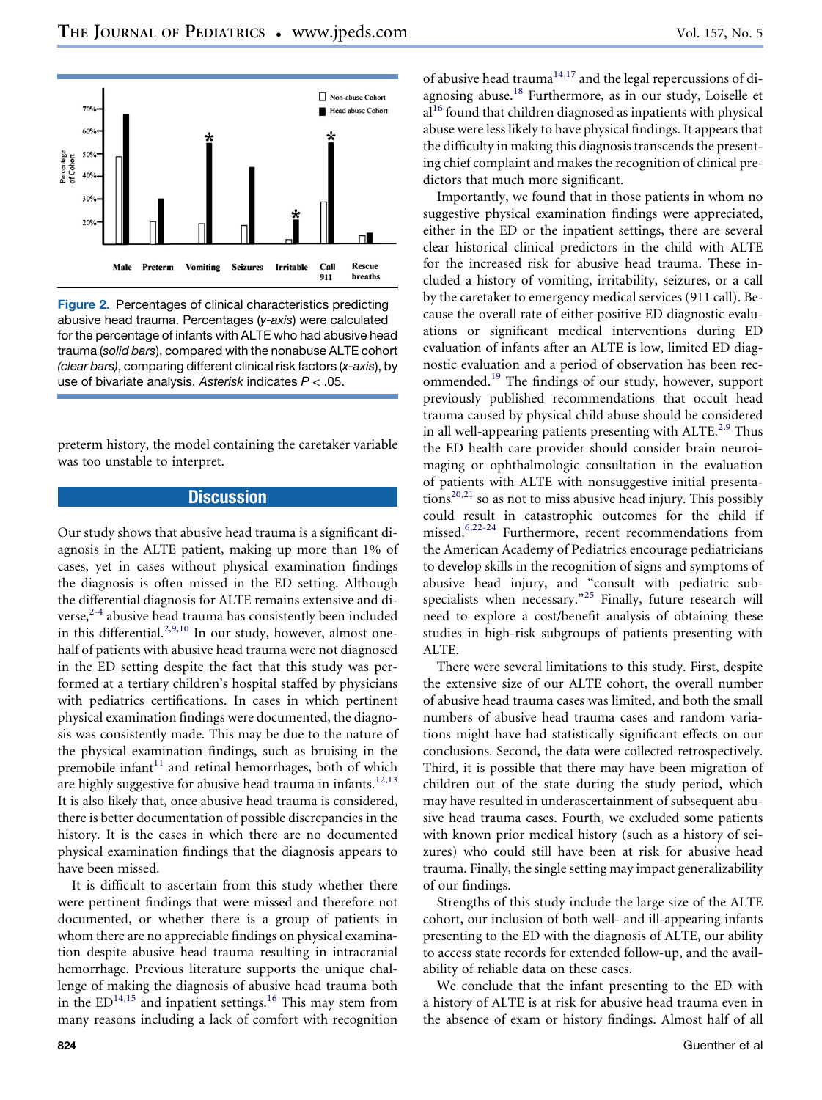<span id="page-3-0"></span>

Figure 2. Percentages of clinical characteristics predicting abusive head trauma. Percentages (*y-axis*) were calculated for the percentage of infants with ALTE who had abusive head trauma (*solid bars*), compared with the nonabuse ALTE cohort *(clear bars)*, comparing different clinical risk factors (*x-axis*), by use of bivariate analysis. *Asterisk* indicates *P* < .05.

preterm history, the model containing the caretaker variable was too unstable to interpret.

# **Discussion**

Our study shows that abusive head trauma is a significant diagnosis in the ALTE patient, making up more than 1% of cases, yet in cases without physical examination findings the diagnosis is often missed in the ED setting. Although the differential diagnosis for ALTE remains extensive and diverse, $2-4$  abusive head trauma has consistently been included in this differential.<sup>[2,9,10](#page-4-0)</sup> In our study, however, almost onehalf of patients with abusive head trauma were not diagnosed in the ED setting despite the fact that this study was performed at a tertiary children's hospital staffed by physicians with pediatrics certifications. In cases in which pertinent physical examination findings were documented, the diagnosis was consistently made. This may be due to the nature of the physical examination findings, such as bruising in the premobile infant $11$  and retinal hemorrhages, both of which are highly suggestive for abusive head trauma in infants.<sup>[12,13](#page-4-0)</sup> It is also likely that, once abusive head trauma is considered, there is better documentation of possible discrepancies in the history. It is the cases in which there are no documented physical examination findings that the diagnosis appears to have been missed.

It is difficult to ascertain from this study whether there were pertinent findings that were missed and therefore not documented, or whether there is a group of patients in whom there are no appreciable findings on physical examination despite abusive head trauma resulting in intracranial hemorrhage. Previous literature supports the unique challenge of making the diagnosis of abusive head trauma both in the  $ED^{14,15}$  $ED^{14,15}$  $ED^{14,15}$  and inpatient settings.<sup>[16](#page-4-0)</sup> This may stem from many reasons including a lack of comfort with recognition

of abusive head trauma $^{\rm 14,17}$  $^{\rm 14,17}$  $^{\rm 14,17}$  and the legal repercussions of di-agnosing abuse.<sup>[18](#page-4-0)</sup> Furthermore, as in our study, Loiselle et al<sup>[16](#page-4-0)</sup> found that children diagnosed as inpatients with physical abuse were less likely to have physical findings. It appears that the difficulty in making this diagnosis transcends the presenting chief complaint and makes the recognition of clinical predictors that much more significant.

Importantly, we found that in those patients in whom no suggestive physical examination findings were appreciated, either in the ED or the inpatient settings, there are several clear historical clinical predictors in the child with ALTE for the increased risk for abusive head trauma. These included a history of vomiting, irritability, seizures, or a call by the caretaker to emergency medical services (911 call). Because the overall rate of either positive ED diagnostic evaluations or significant medical interventions during ED evaluation of infants after an ALTE is low, limited ED diagnostic evaluation and a period of observation has been recommended[.19](#page-4-0) The findings of our study, however, support previously published recommendations that occult head trauma caused by physical child abuse should be considered in all well-appearing patients presenting with ALTE.<sup>[2,9](#page-4-0)</sup> Thus the ED health care provider should consider brain neuroimaging or ophthalmologic consultation in the evaluation of patients with ALTE with nonsuggestive initial presenta- $tions<sup>20,21</sup>$  $tions<sup>20,21</sup>$  $tions<sup>20,21</sup>$  so as not to miss abusive head injury. This possibly could result in catastrophic outcomes for the child if missed.[6,22-24](#page-4-0) Furthermore, recent recommendations from the American Academy of Pediatrics encourage pediatricians to develop skills in the recognition of signs and symptoms of abusive head injury, and ''consult with pediatric sub-specialists when necessary."<sup>[25](#page-4-0)</sup> Finally, future research will need to explore a cost/benefit analysis of obtaining these studies in high-risk subgroups of patients presenting with ALTE.

There were several limitations to this study. First, despite the extensive size of our ALTE cohort, the overall number of abusive head trauma cases was limited, and both the small numbers of abusive head trauma cases and random variations might have had statistically significant effects on our conclusions. Second, the data were collected retrospectively. Third, it is possible that there may have been migration of children out of the state during the study period, which may have resulted in underascertainment of subsequent abusive head trauma cases. Fourth, we excluded some patients with known prior medical history (such as a history of seizures) who could still have been at risk for abusive head trauma. Finally, the single setting may impact generalizability of our findings.

Strengths of this study include the large size of the ALTE cohort, our inclusion of both well- and ill-appearing infants presenting to the ED with the diagnosis of ALTE, our ability to access state records for extended follow-up, and the availability of reliable data on these cases.

We conclude that the infant presenting to the ED with a history of ALTE is at risk for abusive head trauma even in the absence of exam or history findings. Almost half of all